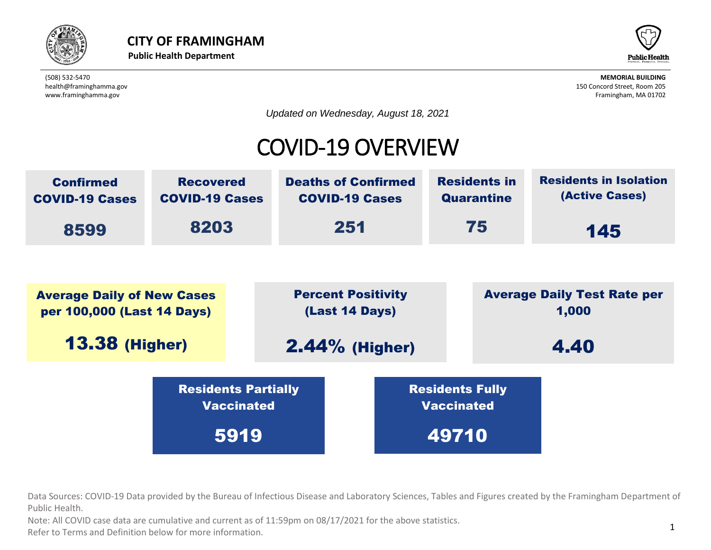



*Updated on Wednesday, August 18, 2021*

## COVID-19 OVERVIEW



Data Sources: COVID-19 Data provided by the Bureau of Infectious Disease and Laboratory Sciences, Tables and Figures created by the Framingham Department of<br>Public Health. Public Health. Residents Partially vaccinated the contract of the contract of the contract of the contract of the contract of the contract of the contract of the contract of the contract of the contract of the contract of the contract of the contract of the

Public Health.<br>Note: All COVID case data are cumulative and current as of 11:59pm on 08/17/2021 for the above statistics.

Refer to Terms and Definition below for more information.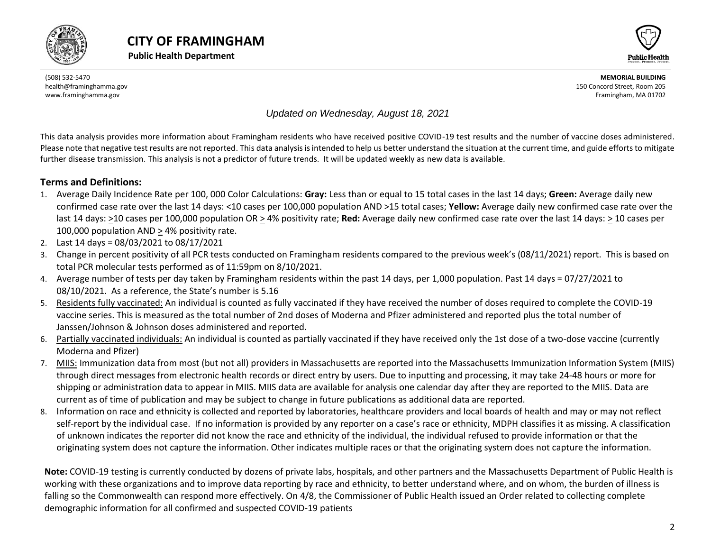





#### *Updated on Wednesday, August 18, 2021*

This data analysis provides more information about Framingham residents who have received positive COVID-19 test results and the number of vaccine doses administered. Please note that negative test results are not reported. This data analysis is intended to help us better understand the situation at the current time, and guide efforts to mitigate further disease transmission. This analysis is not a predictor of future trends. It will be updated weekly as new data is available.

#### **Terms and Definitions:**

- 1. Average Daily Incidence Rate per 100, 000 Color Calculations: **Gray:** Less than or equal to 15 total cases in the last 14 days; **Green:** Average daily new confirmed case rate over the last 14 days: <10 cases per 100,000 population AND >15 total cases; **Yellow:** Average daily new confirmed case rate over the last 14 days: >10 cases per 100,000 population OR > 4% positivity rate; **Red:** Average daily new confirmed case rate over the last 14 days: > 10 cases per 100,000 population AND > 4% positivity rate.
- 2. Last 14 days = 08/03/2021 to 08/17/2021
- 3. Change in percent positivity of all PCR tests conducted on Framingham residents compared to the previous week's (08/11/2021) report. This is based on total PCR molecular tests performed as of 11:59pm on 8/10/2021.
- 4. Average number of tests per day taken by Framingham residents within the past 14 days, per 1,000 population. Past 14 days = 07/27/2021 to 08/10/2021. As a reference, the State's number is 5.16
- 5. Residents fully vaccinated: An individual is counted as fully vaccinated if they have received the number of doses required to complete the COVID-19 vaccine series. This is measured as the total number of 2nd doses of Moderna and Pfizer administered and reported plus the total number of Janssen/Johnson & Johnson doses administered and reported.
- 6. Partially vaccinated individuals: An individual is counted as partially vaccinated if they have received only the 1st dose of a two-dose vaccine (currently Moderna and Pfizer)
- 7. MIIS: Immunization data from most (but not all) providers in Massachusetts are reported into the Massachusetts Immunization Information System (MIIS) through direct messages from electronic health records or direct entry by users. Due to inputting and processing, it may take 24-48 hours or more for shipping or administration data to appear in MIIS. MIIS data are available for analysis one calendar day after they are reported to the MIIS. Data are current as of time of publication and may be subject to change in future publications as additional data are reported.
- 8. Information on race and ethnicity is collected and reported by laboratories, healthcare providers and local boards of health and may or may not reflect self-report by the individual case. If no information is provided by any reporter on a case's race or ethnicity, MDPH classifies it as missing. A classification of unknown indicates the reporter did not know the race and ethnicity of the individual, the individual refused to provide information or that the originating system does not capture the information. Other indicates multiple races or that the originating system does not capture the information.

<span id="page-1-0"></span>**Note:** COVID-19 testing is currently conducted by dozens of private labs, hospitals, and other partners and the Massachusetts Department of Public Health is working with these organizations and to improve data reporting by race and ethnicity, to better understand where, and on whom, the burden of illness is falling so the Commonwealth can respond more effectively. On 4/8, the Commissioner of Public Health issued an Order related to collecting complete demographic information for all confirmed and suspected COVID-19 patients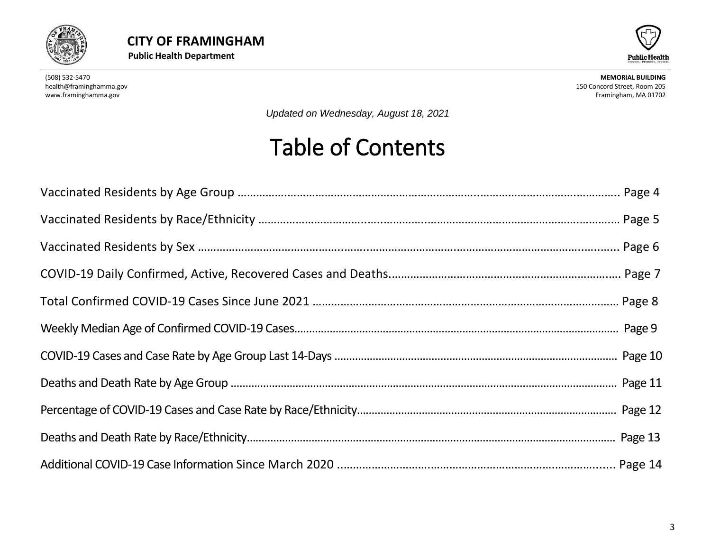



*Updated on Wednesday, August 18, 2021*

# Table of Contents

<span id="page-2-0"></span>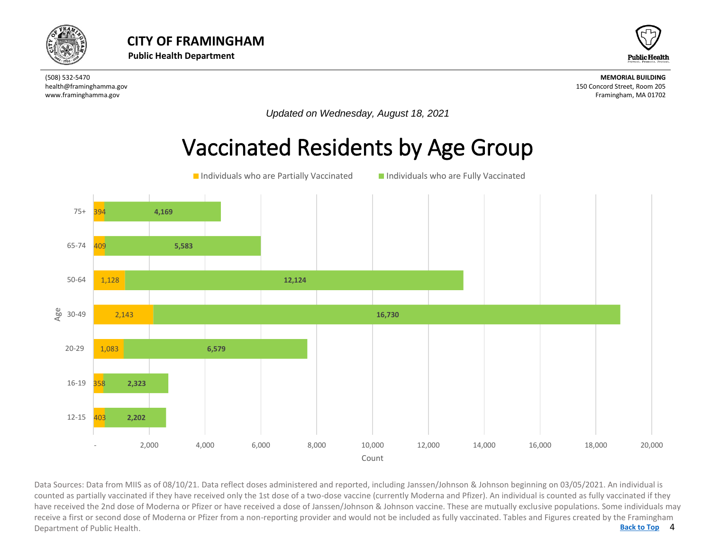



*Updated on Wednesday, August 18, 2021*

#### Vaccinated Residents by Age Group



4 **[Back to Top](#page-1-0)** Data Sources: Data from MIIS as of 08/10/21. Data reflect doses administered and reported, including Janssen/Johnson & Johnson beginning on 03/05/2021. An individual is<br>counted as partially vaccinated if they have received counted as partially vaccinated if they have received only the 1st dose of a two-dose vaccine (currently Moderna and Pfizer). An individual is counted as fully vaccinated if they have received the 2nd dose of Moderna or Pfizer or have received a dose of Janssen/Johnson & Johnson vaccine. These are mutually exclusive populations. Some individuals may receive a first or second dose of Moderna or Pfizer from a non-reporting provider and would not be included as fully vaccinated. Tables and Figures created by the Framingham Department of Public Health.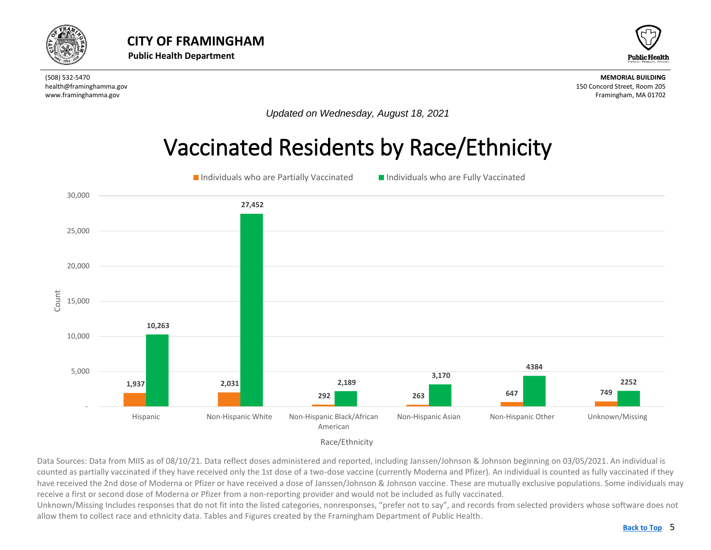<span id="page-4-0"></span>



*Updated on Wednesday, August 18, 2021*

## Vaccinated Residents by Race/Ethnicity





Data Sources: Data from MIIS as of 08/10/21. Data reflect doses administered and reported, including Janssen/Johnson & Johnson beginning on 03/05/2021. An individual is counted as partially vaccinated if they have received only the 1st dose of a two-dose vaccine (currently Moderna and Pfizer). An individual is counted as fully vaccinated if they have received the 2nd dose of Moderna or Pfizer or have received a dose of Janssen/Johnson & Johnson vaccine. These are mutually exclusive populations. Some individuals may receive a first or second dose of Moderna or Pfizer from a non-reporting provider and would not be included as fully vaccinated.

Unknown/Missing Includes responses that do not fit into the listed categories, nonresponses, "prefer not to say", and records from selected providers whose software does not allow them to collect race and ethnicity data. Tables and Figures created by the Framingham Department of Public Health.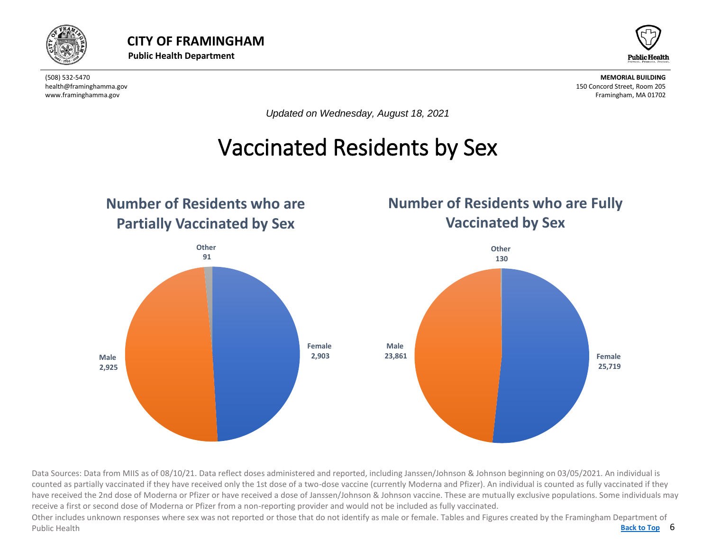



*Updated on Wednesday, August 18, 2021*

### Vaccinated Residents by Sex

<span id="page-5-0"></span>

Data Sources: Data from MIIS as of 08/10/21. Data reflect doses administered and reported, including Janssen/Johnson & Johnson beginning on 03/05/2021. An individual is counted as partially vaccinated if they have received only the 1st dose of a two-dose vaccine (currently Moderna and Pfizer). An individual is counted as fully vaccinated if they have received the 2nd dose of Moderna or Pfizer or have received a dose of Janssen/Johnson & Johnson vaccine. These are mutually exclusive populations. Some individuals may receive a first or second dose of Moderna or Pfizer from a non-reporting provider and would not be included as fully vaccinated.

Back to Top 6 Other includes unknown responses where sex was not reported or those that do not identify as male or female. Tables and Figures created by the Framingham Department of Public Health **[Back to Top](#page-1-0)**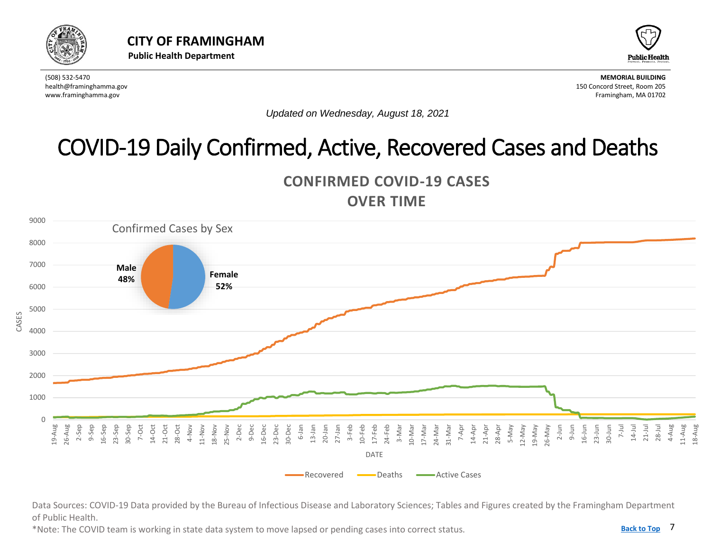<span id="page-6-0"></span>



*Updated on Wednesday, August 18, 2021*

## COVID-19 Daily Confirmed, Active, Recovered Cases and Deaths





Data Sources: COVID-19 Data provided by the Bureau of Infectious Disease and Laboratory Sciences; Tables and Figures created by the Framingham Department of Public Health.

\*Note: The COVID team is working in state data system to move lapsed or pending cases into correct status.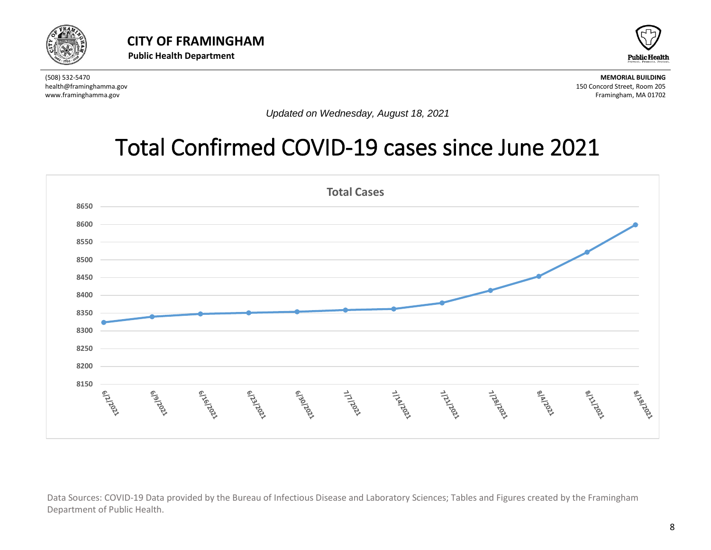



*Updated on Wednesday, August 18, 2021*

## Total Confirmed COVID-19 cases since June 2021



Data Sources: COVID-19 Data provided by the Bureau of Infectious Disease and Laboratory Sciences; Tables and Figures created by the Framingham Department of Public Health.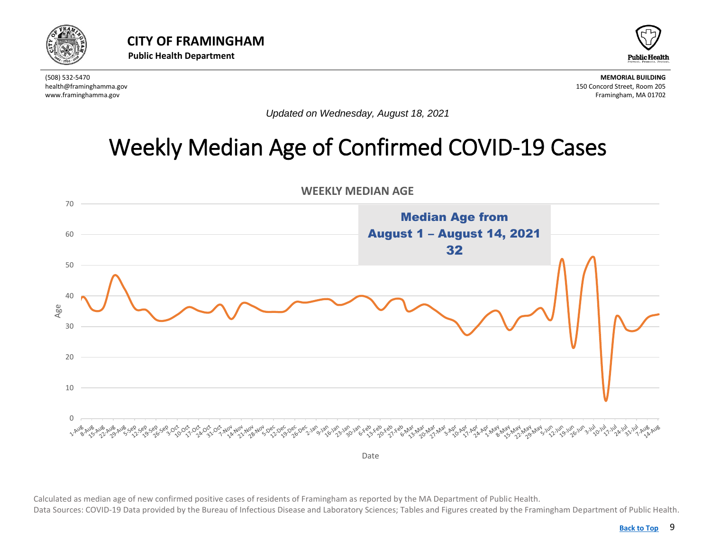<span id="page-8-0"></span>



*Updated on Wednesday, August 18, 2021*

## Weekly Median Age of Confirmed COVID-19 Cases



 Calculated as median age of new confirmed positive cases of residents of Framingham as reported by the MA Department of Public Health. Data Sources: COVID-19 Data provided by the Bureau of Infectious Disease and Laboratory Sciences; Tables and Figures created by the Framingham Department of Public Health.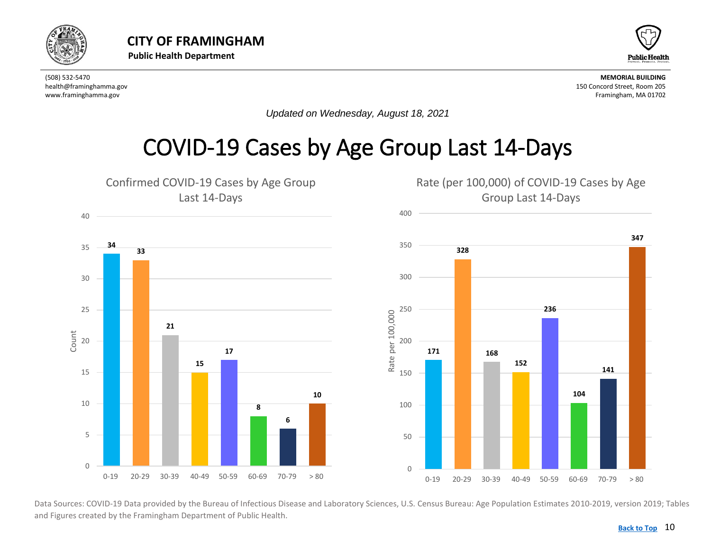<span id="page-9-0"></span>



*Updated on Wednesday, August 18, 2021*

#### COVID-19 Cases by Age Group Last 14-Days



Data Sources: COVID-19 Data provided by the Bureau of Infectious Disease and Laboratory Sciences, U.S. Census Bureau: Age Population Estimates 2010-2019, version 2019; Tables and Figures created by the Framingham Department of Public Health.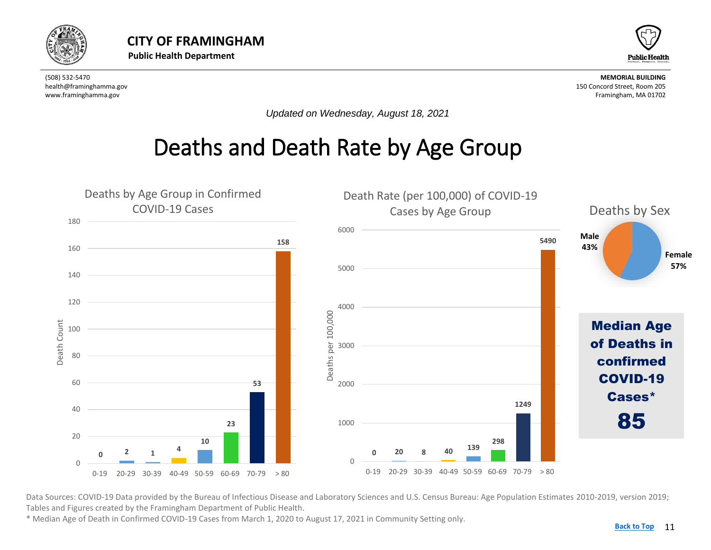<span id="page-10-0"></span>



*Updated on Wednesday, August 18, 2021*

#### Deaths and Death Rate by Age Group



Data Sources: COVID-19 Data provided by the Bureau of Infectious Disease and Laboratory Sciences and U.S. Census Bureau: Age Population Estimates 2010-2019, version 2019; Tables and Figures created by the Framingham Department of Public Health.

\* Median Age of Death in Confirmed COVID-19 Cases from March 1, 2020 to August 17, 2021 in Community Setting only.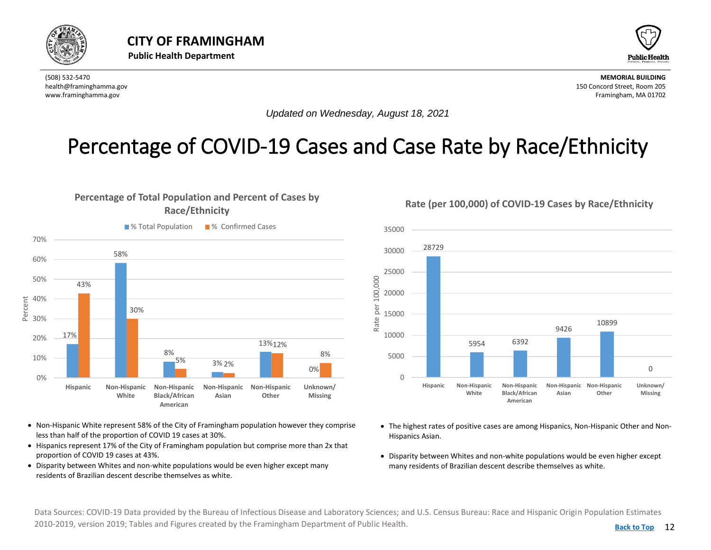<span id="page-11-0"></span>



*Updated on Wednesday, August 18, 2021*

#### Percentage of COVID-19 Cases and Case Rate by Race/Ethnicity





- Non-Hispanic White represent 58% of the City of Framingham population however they comprise less than half of the proportion of COVID 19 cases at 30%.
- Hispanics represent 17% of the City of Framingham population but comprise more than 2x that proportion of COVID 19 cases at 43%.
- Disparity between Whites and non-white populations would be even higher except many residents of Brazilian descent describe themselves as white.

**Rate (per 100,000) of COVID-19 Cases by Race/Ethnicity**



- The highest rates of positive cases are among Hispanics, Non-Hispanic Other and Non-Hispanics Asian.
- Disparity between Whites and non-white populations would be even higher except many residents of Brazilian descent describe themselves as white.

Data Sources: COVID-19 Data provided by the Bureau of Infectious Disease and Laboratory Sciences; and U.S. Census Bureau: Race and Hispanic Origin Population Estimates 2010-2019, version 2019; Tables and Figures created by the Framingham Department of Public Health.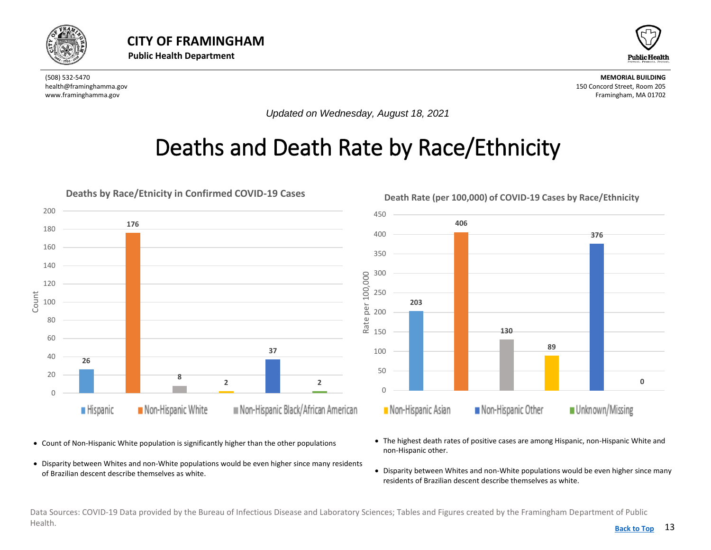<span id="page-12-0"></span>



*Updated on Wednesday, August 18, 2021*

## Deaths and Death Rate by Race/Ethnicity



- Count of Non-Hispanic White population is significantly higher than the other populations
- Disparity between Whites and non-White populations would be even higher since many residents of Brazilian descent describe themselves as white.
- The highest death rates of positive cases are among Hispanic, non-Hispanic White and non-Hispanic other.
- Disparity between Whites and non-White populations would be even higher since many residents of Brazilian descent describe themselves as white.

Data Sources: COVID-19 Data provided by the Bureau of Infectious Disease and Laboratory Sciences; Tables and Figures created by the Framingham Department of Public Health. **[Back to Top](#page-1-0)**